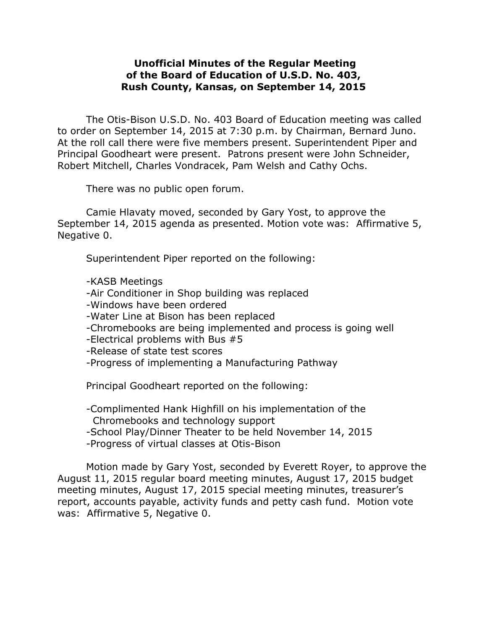## **Unofficial Minutes of the Regular Meeting of the Board of Education of U.S.D. No. 403, Rush County, Kansas, on September 14, 2015**

The Otis-Bison U.S.D. No. 403 Board of Education meeting was called to order on September 14, 2015 at 7:30 p.m. by Chairman, Bernard Juno. At the roll call there were five members present. Superintendent Piper and Principal Goodheart were present. Patrons present were John Schneider, Robert Mitchell, Charles Vondracek, Pam Welsh and Cathy Ochs.

There was no public open forum.

Camie Hlavaty moved, seconded by Gary Yost, to approve the September 14, 2015 agenda as presented. Motion vote was: Affirmative 5, Negative 0.

Superintendent Piper reported on the following:

-KASB Meetings

- -Air Conditioner in Shop building was replaced
- -Windows have been ordered
- -Water Line at Bison has been replaced
- -Chromebooks are being implemented and process is going well
- -Electrical problems with Bus #5

-Release of state test scores

-Progress of implementing a Manufacturing Pathway

Principal Goodheart reported on the following:

-Complimented Hank Highfill on his implementation of the Chromebooks and technology support

-School Play/Dinner Theater to be held November 14, 2015

-Progress of virtual classes at Otis-Bison

Motion made by Gary Yost, seconded by Everett Royer, to approve the August 11, 2015 regular board meeting minutes, August 17, 2015 budget meeting minutes, August 17, 2015 special meeting minutes, treasurer's report, accounts payable, activity funds and petty cash fund. Motion vote was: Affirmative 5, Negative 0.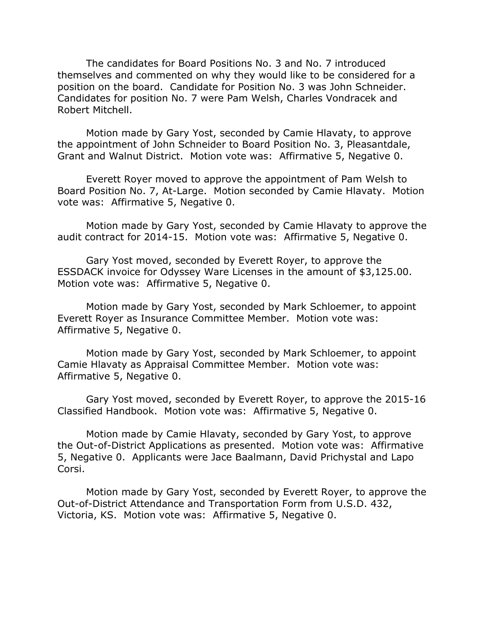The candidates for Board Positions No. 3 and No. 7 introduced themselves and commented on why they would like to be considered for a position on the board. Candidate for Position No. 3 was John Schneider. Candidates for position No. 7 were Pam Welsh, Charles Vondracek and Robert Mitchell.

Motion made by Gary Yost, seconded by Camie Hlavaty, to approve the appointment of John Schneider to Board Position No. 3, Pleasantdale, Grant and Walnut District. Motion vote was: Affirmative 5, Negative 0.

Everett Royer moved to approve the appointment of Pam Welsh to Board Position No. 7, At-Large. Motion seconded by Camie Hlavaty. Motion vote was: Affirmative 5, Negative 0.

Motion made by Gary Yost, seconded by Camie Hlavaty to approve the audit contract for 2014-15. Motion vote was: Affirmative 5, Negative 0.

Gary Yost moved, seconded by Everett Royer, to approve the ESSDACK invoice for Odyssey Ware Licenses in the amount of \$3,125.00. Motion vote was: Affirmative 5, Negative 0.

Motion made by Gary Yost, seconded by Mark Schloemer, to appoint Everett Royer as Insurance Committee Member. Motion vote was: Affirmative 5, Negative 0.

Motion made by Gary Yost, seconded by Mark Schloemer, to appoint Camie Hlavaty as Appraisal Committee Member. Motion vote was: Affirmative 5, Negative 0.

Gary Yost moved, seconded by Everett Royer, to approve the 2015-16 Classified Handbook. Motion vote was: Affirmative 5, Negative 0.

Motion made by Camie Hlavaty, seconded by Gary Yost, to approve the Out-of-District Applications as presented. Motion vote was: Affirmative 5, Negative 0. Applicants were Jace Baalmann, David Prichystal and Lapo Corsi.

Motion made by Gary Yost, seconded by Everett Royer, to approve the Out-of-District Attendance and Transportation Form from U.S.D. 432, Victoria, KS. Motion vote was: Affirmative 5, Negative 0.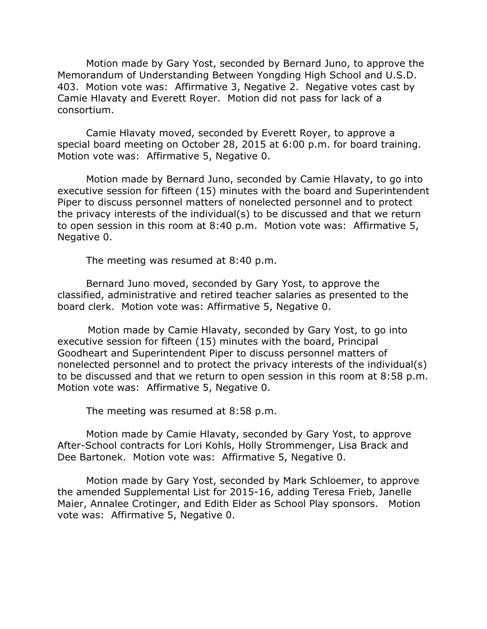Motion made by Gary Yost, seconded by Bernard Juno, to approve the Memorandum of Understanding Between Yongding High School and U.S.D. 403. Motion vote was: Affirmative 3, Negative 2. Negative votes cast by Camie Hlavaty and Everett Royer. Motion did not pass for lack of a consortium.

Camie Hlavaty moved, seconded by Everett Royer, to approve a special board meeting on October 28, 2015 at 6:00 p.m. for board training. Motion vote was: Affirmative 5, Negative 0.

Motion made by Bernard Juno, seconded by Camie Hlavaty, to go into executive session for fifteen (15) minutes with the board and Superintendent Piper to discuss personnel matters of nonelected personnel and to protect the privacy interests of the individual(s) to be discussed and that we return to open session in this room at 8:40 p.m. Motion vote was: Affirmative 5, Negative 0.

The meeting was resumed at 8:40 p.m.

Bernard Juno moved, seconded by Gary Yost, to approve the classified, administrative and retired teacher salaries as presented to the board clerk. Motion vote was: Affirmative 5, Negative 0.

 Motion made by Camie Hlavaty, seconded by Gary Yost, to go into executive session for fifteen (15) minutes with the board, Principal Goodheart and Superintendent Piper to discuss personnel matters of nonelected personnel and to protect the privacy interests of the individual(s) to be discussed and that we return to open session in this room at 8:58 p.m. Motion vote was: Affirmative 5, Negative 0.

The meeting was resumed at 8:58 p.m.

Motion made by Camie Hlavaty, seconded by Gary Yost, to approve After-School contracts for Lori Kohls, Holly Strommenger, Lisa Brack and Dee Bartonek. Motion vote was: Affirmative 5, Negative 0.

Motion made by Gary Yost, seconded by Mark Schloemer, to approve the amended Supplemental List for 2015-16, adding Teresa Frieb, Janelle Maier, Annalee Crotinger, and Edith Elder as School Play sponsors. Motion vote was: Affirmative 5, Negative 0.